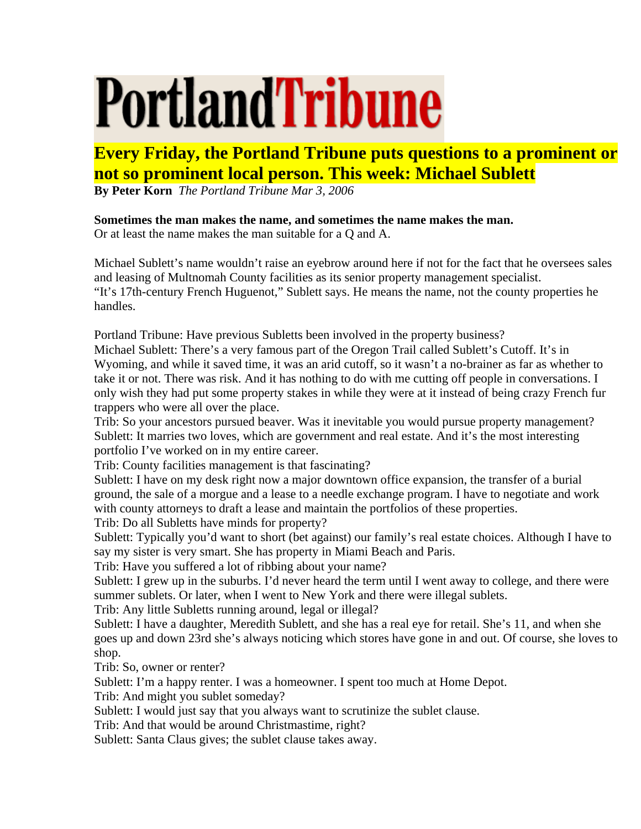## **PortlandTribune**

## **Every Friday, the Portland Tribune puts questions to a prominent or not so prominent local person. This week: Michael Sublett**

**By Peter Korn** *The Portland Tribune Mar 3, 2006* 

## **Sometimes the man makes the name, and sometimes the name makes the man.**

Or at least the name makes the man suitable for a Q and A.

Michael Sublett's name wouldn't raise an eyebrow around here if not for the fact that he oversees sales and leasing of Multnomah County facilities as its senior property management specialist. "It's 17th-century French Huguenot," Sublett says. He means the name, not the county properties he handles.

Portland Tribune: Have previous Subletts been involved in the property business?

Michael Sublett: There's a very famous part of the Oregon Trail called Sublett's Cutoff. It's in Wyoming, and while it saved time, it was an arid cutoff, so it wasn't a no-brainer as far as whether to take it or not. There was risk. And it has nothing to do with me cutting off people in conversations. I only wish they had put some property stakes in while they were at it instead of being crazy French fur trappers who were all over the place.

Trib: So your ancestors pursued beaver. Was it inevitable you would pursue property management? Sublett: It marries two loves, which are government and real estate. And it's the most interesting portfolio I've worked on in my entire career.

Trib: County facilities management is that fascinating?

Sublett: I have on my desk right now a major downtown office expansion, the transfer of a burial ground, the sale of a morgue and a lease to a needle exchange program. I have to negotiate and work with county attorneys to draft a lease and maintain the portfolios of these properties.

Trib: Do all Subletts have minds for property?

Sublett: Typically you'd want to short (bet against) our family's real estate choices. Although I have to say my sister is very smart. She has property in Miami Beach and Paris.

Trib: Have you suffered a lot of ribbing about your name?

Sublett: I grew up in the suburbs. I'd never heard the term until I went away to college, and there were summer sublets. Or later, when I went to New York and there were illegal sublets.

Trib: Any little Subletts running around, legal or illegal?

Sublett: I have a daughter, Meredith Sublett, and she has a real eye for retail. She's 11, and when she goes up and down 23rd she's always noticing which stores have gone in and out. Of course, she loves to shop.

Trib: So, owner or renter?

Sublett: I'm a happy renter. I was a homeowner. I spent too much at Home Depot.

Trib: And might you sublet someday?

Sublett: I would just say that you always want to scrutinize the sublet clause.

Trib: And that would be around Christmastime, right?

Sublett: Santa Claus gives; the sublet clause takes away.